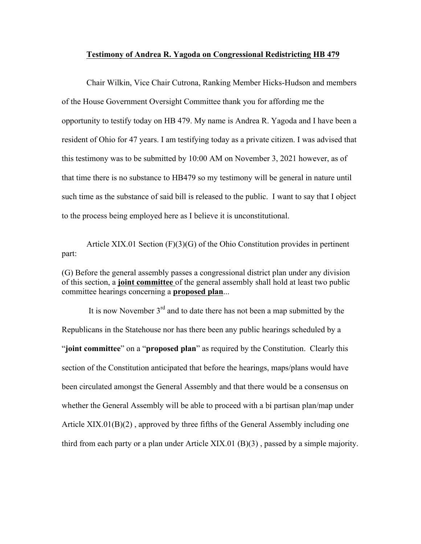## **Testimony of Andrea R. Yagoda on Congressional Redistricting HB 479**

Chair Wilkin, Vice Chair Cutrona, Ranking Member Hicks-Hudson and members of the House Government Oversight Committee thank you for affording me the opportunity to testify today on HB 479. My name is Andrea R. Yagoda and I have been a resident of Ohio for 47 years. I am testifying today as a private citizen. I was advised that this testimony was to be submitted by 10:00 AM on November 3, 2021 however, as of that time there is no substance to HB479 so my testimony will be general in nature until such time as the substance of said bill is released to the public. I want to say that I object to the process being employed here as I believe it is unconstitutional.

Article XIX.01 Section (F)(3)(G) of the Ohio Constitution provides in pertinent part:

(G) Before the general assembly passes a congressional district plan under any division of this section, a **joint committee** of the general assembly shall hold at least two public committee hearings concerning a **proposed plan**...

It is now November  $3<sup>rd</sup>$  and to date there has not been a map submitted by the Republicans in the Statehouse nor has there been any public hearings scheduled by a "**joint committee**" on a "**proposed plan**" as required by the Constitution. Clearly this section of the Constitution anticipated that before the hearings, maps/plans would have been circulated amongst the General Assembly and that there would be a consensus on whether the General Assembly will be able to proceed with a bi partisan plan/map under Article XIX.01(B)(2) , approved by three fifths of the General Assembly including one third from each party or a plan under Article XIX.01 (B)(3) , passed by a simple majority.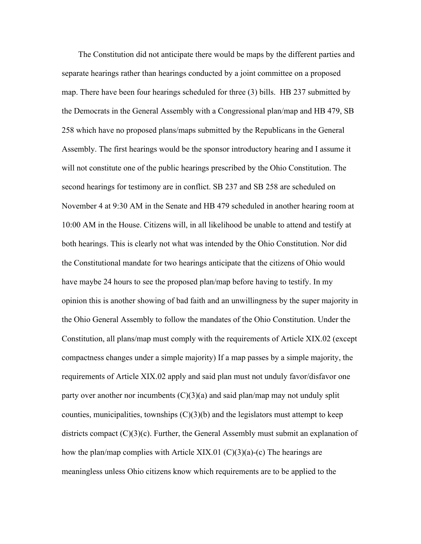The Constitution did not anticipate there would be maps by the different parties and separate hearings rather than hearings conducted by a joint committee on a proposed map. There have been four hearings scheduled for three (3) bills. HB 237 submitted by the Democrats in the General Assembly with a Congressional plan/map and HB 479, SB 258 which have no proposed plans/maps submitted by the Republicans in the General Assembly. The first hearings would be the sponsor introductory hearing and I assume it will not constitute one of the public hearings prescribed by the Ohio Constitution. The second hearings for testimony are in conflict. SB 237 and SB 258 are scheduled on November 4 at 9:30 AM in the Senate and HB 479 scheduled in another hearing room at 10:00 AM in the House. Citizens will, in all likelihood be unable to attend and testify at both hearings. This is clearly not what was intended by the Ohio Constitution. Nor did the Constitutional mandate for two hearings anticipate that the citizens of Ohio would have maybe 24 hours to see the proposed plan/map before having to testify. In my opinion this is another showing of bad faith and an unwillingness by the super majority in the Ohio General Assembly to follow the mandates of the Ohio Constitution. Under the Constitution, all plans/map must comply with the requirements of Article XIX.02 (except compactness changes under a simple majority) If a map passes by a simple majority, the requirements of Article XIX.02 apply and said plan must not unduly favor/disfavor one party over another nor incumbents  $(C)(3)(a)$  and said plan/map may not unduly split counties, municipalities, townships  $(C)(3)(b)$  and the legislators must attempt to keep districts compact  $(C)(3)(c)$ . Further, the General Assembly must submit an explanation of how the plan/map complies with Article XIX.01 (C)(3)(a)-(c) The hearings are meaningless unless Ohio citizens know which requirements are to be applied to the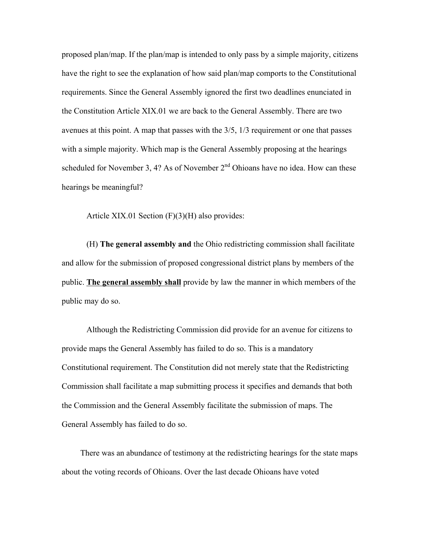proposed plan/map. If the plan/map is intended to only pass by a simple majority, citizens have the right to see the explanation of how said plan/map comports to the Constitutional requirements. Since the General Assembly ignored the first two deadlines enunciated in the Constitution Article XIX.01 we are back to the General Assembly. There are two avenues at this point. A map that passes with the 3/5, 1/3 requirement or one that passes with a simple majority. Which map is the General Assembly proposing at the hearings scheduled for November 3, 4? As of November  $2<sup>nd</sup>$  Ohioans have no idea. How can these hearings be meaningful?

Article XIX.01 Section (F)(3)(H) also provides:

(H) **The general assembly and** the Ohio redistricting commission shall facilitate and allow for the submission of proposed congressional district plans by members of the public. **The general assembly shall** provide by law the manner in which members of the public may do so.

Although the Redistricting Commission did provide for an avenue for citizens to provide maps the General Assembly has failed to do so. This is a mandatory Constitutional requirement. The Constitution did not merely state that the Redistricting Commission shall facilitate a map submitting process it specifies and demands that both the Commission and the General Assembly facilitate the submission of maps. The General Assembly has failed to do so.

 There was an abundance of testimony at the redistricting hearings for the state maps about the voting records of Ohioans. Over the last decade Ohioans have voted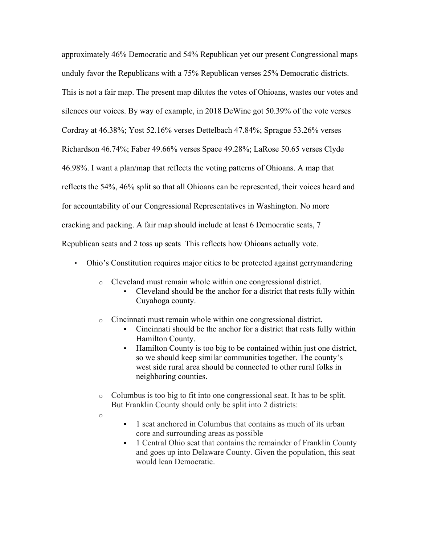approximately 46% Democratic and 54% Republican yet our present Congressional maps unduly favor the Republicans with a 75% Republican verses 25% Democratic districts. This is not a fair map. The present map dilutes the votes of Ohioans, wastes our votes and silences our voices. By way of example, in 2018 DeWine got 50.39% of the vote verses Cordray at 46.38%; Yost 52.16% verses Dettelbach 47.84%; Sprague 53.26% verses Richardson 46.74%; Faber 49.66% verses Space 49.28%; LaRose 50.65 verses Clyde 46.98%. I want a plan/map that reflects the voting patterns of Ohioans. A map that reflects the 54%, 46% split so that all Ohioans can be represented, their voices heard and for accountability of our Congressional Representatives in Washington. No more cracking and packing. A fair map should include at least 6 Democratic seats, 7 Republican seats and 2 toss up seats This reflects how Ohioans actually vote.

- Ohio's Constitution requires major cities to be protected against gerrymandering
	- o Cleveland must remain whole within one congressional district.
		- ! Cleveland should be the anchor for a district that rests fully within Cuyahoga county.
	- o Cincinnati must remain whole within one congressional district.
		- ! Cincinnati should be the anchor for a district that rests fully within Hamilton County.
		- ! Hamilton County is too big to be contained within just one district, so we should keep similar communities together. The county's west side rural area should be connected to other rural folks in neighboring counties.
	- o Columbus is too big to fit into one congressional seat. It has to be split. But Franklin County should only be split into 2 districts:
	- o
- ! 1 seat anchored in Columbus that contains as much of its urban core and surrounding areas as possible
- ! 1 Central Ohio seat that contains the remainder of Franklin County and goes up into Delaware County. Given the population, this seat would lean Democratic.